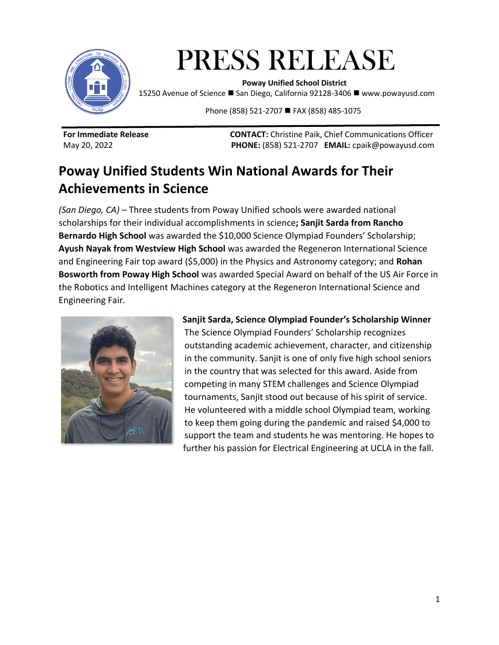

# PRESS RELEASE  **Poway Unified School District**

15250 Avenue of Science ◼ San Diego, California 92128-3406 ◼ www.powayusd.com

Phone (858) 521-2707 ■ FAX (858) 485-1075

**For Immediate Release CONTACT:** Christine Paik, Chief Communications Officer May 20, 2022 **PHONE:** (858) 521-2707 **EMAIL:** cpaik@powayusd.com

# **Poway Unified Students Win National Awards for Their Achievements in Science**

*(San Diego, CA) –* Three students from Poway Unified schools were awarded national scholarships for their individual accomplishments in science**; Sanjit Sarda from Rancho Bernardo High School** was awarded the \$10,000 Science Olympiad Founders' Scholarship; **Ayush Nayak from Westview High School** was awarded the Regeneron International Science and Engineering Fair top award (\$5,000) in the Physics and Astronomy category; and **Rohan Bosworth from Poway High School** was awarded Special Award on behalf of the US Air Force in the Robotics and Intelligent Machines category at the Regeneron International Science and Engineering Fair.



#### **Sanjit Sarda, Science Olympiad Founder's Scholarship Winner**

The Science Olympiad Founders' Scholarship recognizes outstanding academic achievement, character, and citizenship in the community. Sanjit is one of only five high school seniors in the country that was selected for this award. Aside from competing in many STEM challenges and Science Olympiad tournaments, Sanjit stood out because of his spirit of service. He volunteered with a middle school Olympiad team, working to keep them going during the pandemic and raised \$4,000 to support the team and students he was mentoring. He hopes to further his passion for Electrical Engineering at UCLA in the fall.